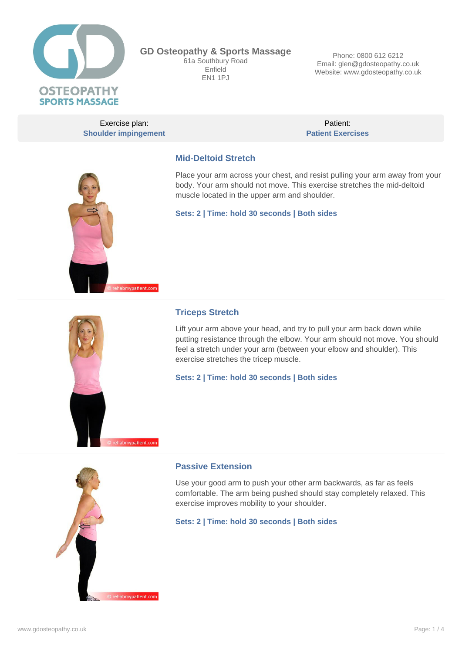

**GD Osteopathy & Sports Massage** 61a Southbury Road Enfield **EN1 1PJ** 

Phone: 0800 612 6212 Email: glen@gdosteopathy.co.uk Website: www.gdosteopathy.co.uk

Exercise plan: **Shoulder impingement**

Patient: **Patient Exercises**



## **Mid-Deltoid Stretch**

Place your arm across your chest, and resist pulling your arm away from your body. Your arm should not move. This exercise stretches the mid-deltoid muscle located in the upper arm and shoulder.

**Sets: 2 | Time: hold 30 seconds | Both sides**

## **Triceps Stretch**

Lift your arm above your head, and try to pull your arm back down while putting resistance through the elbow. Your arm should not move. You should feel a stretch under your arm (between your elbow and shoulder). This exercise stretches the tricep muscle.

**Sets: 2 | Time: hold 30 seconds | Both sides**



#### **Passive Extension**

Use your good arm to push your other arm backwards, as far as feels comfortable. The arm being pushed should stay completely relaxed. This exercise improves mobility to your shoulder.

**Sets: 2 | Time: hold 30 seconds | Both sides**

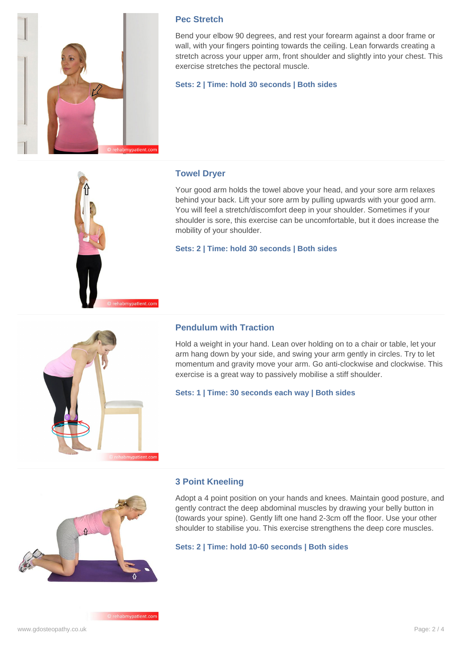

## **Pec Stretch**

Bend your elbow 90 degrees, and rest your forearm against a door frame or wall, with your fingers pointing towards the ceiling. Lean forwards creating a stretch across your upper arm, front shoulder and slightly into your chest. This exercise stretches the pectoral muscle.

**Sets: 2 | Time: hold 30 seconds | Both sides**



# **Towel Dryer**

Your good arm holds the towel above your head, and your sore arm relaxes behind your back. Lift your sore arm by pulling upwards with your good arm. You will feel a stretch/discomfort deep in your shoulder. Sometimes if your shoulder is sore, this exercise can be uncomfortable, but it does increase the mobility of your shoulder.

**Sets: 2 | Time: hold 30 seconds | Both sides**



## **Pendulum with Traction**

Hold a weight in your hand. Lean over holding on to a chair or table, let your arm hang down by your side, and swing your arm gently in circles. Try to let momentum and gravity move your arm. Go anti-clockwise and clockwise. This exercise is a great way to passively mobilise a stiff shoulder.

**Sets: 1 | Time: 30 seconds each way | Both sides**



## **3 Point Kneeling**

Adopt a 4 point position on your hands and knees. Maintain good posture, and gently contract the deep abdominal muscles by drawing your belly button in (towards your spine). Gently lift one hand 2-3cm off the floor. Use your other shoulder to stabilise you. This exercise strengthens the deep core muscles.

#### **Sets: 2 | Time: hold 10-60 seconds | Both sides**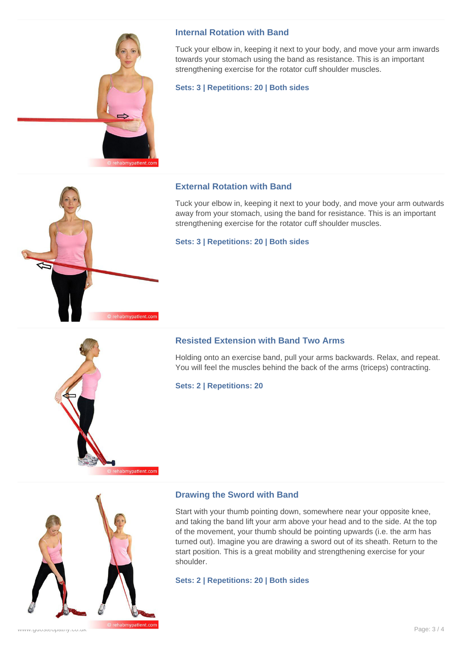

## **Internal Rotation with Band**

Tuck your elbow in, keeping it next to your body, and move your arm inwards towards your stomach using the band as resistance. This is an important strengthening exercise for the rotator cuff shoulder muscles.

#### **Sets: 3 | Repetitions: 20 | Both sides**



## **External Rotation with Band**

Tuck your elbow in, keeping it next to your body, and move your arm outwards away from your stomach, using the band for resistance. This is an important strengthening exercise for the rotator cuff shoulder muscles.

**Sets: 3 | Repetitions: 20 | Both sides**

## **Resisted Extension with Band Two Arms**

Holding onto an exercise band, pull your arms backwards. Relax, and repeat. You will feel the muscles behind the back of the arms (triceps) contracting.

#### **Sets: 2 | Repetitions: 20**



habmypatient.com

#### **Drawing the Sword with Band**

Start with your thumb pointing down, somewhere near your opposite knee, and taking the band lift your arm above your head and to the side. At the top of the movement, your thumb should be pointing upwards (i.e. the arm has turned out). Imagine you are drawing a sword out of its sheath. Return to the start position. This is a great mobility and strengthening exercise for your shoulder.

**Sets: 2 | Repetitions: 20 | Both sides**